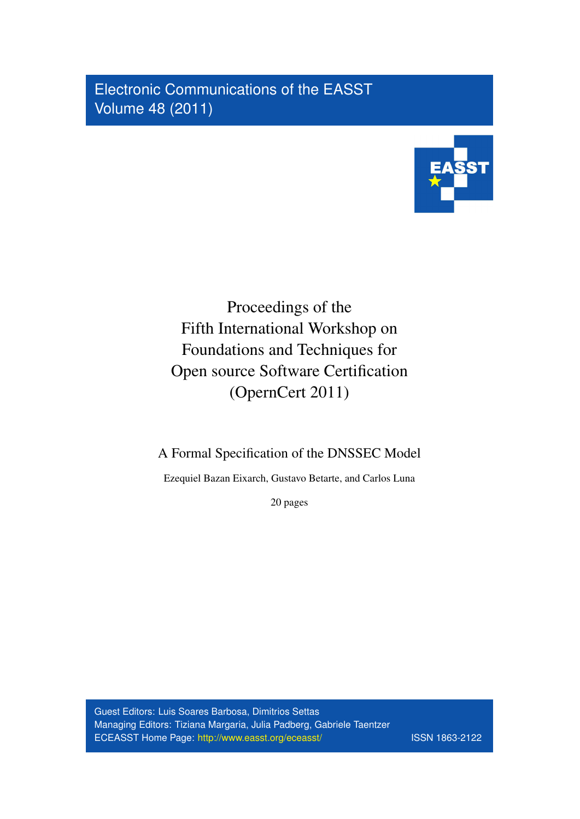Electronic Communications of the EASST Volume 48 (2011)



# Proceedings of the Fifth International Workshop on Foundations and Techniques for Open source Software Certification (OpernCert 2011)

A Formal Specification of the DNSSEC Model

Ezequiel Bazan Eixarch, Gustavo Betarte, and Carlos Luna

20 pages

Guest Editors: Luis Soares Barbosa, Dimitrios Settas Managing Editors: Tiziana Margaria, Julia Padberg, Gabriele Taentzer ECEASST Home Page: <http://www.easst.org/eceasst/> ISSN 1863-2122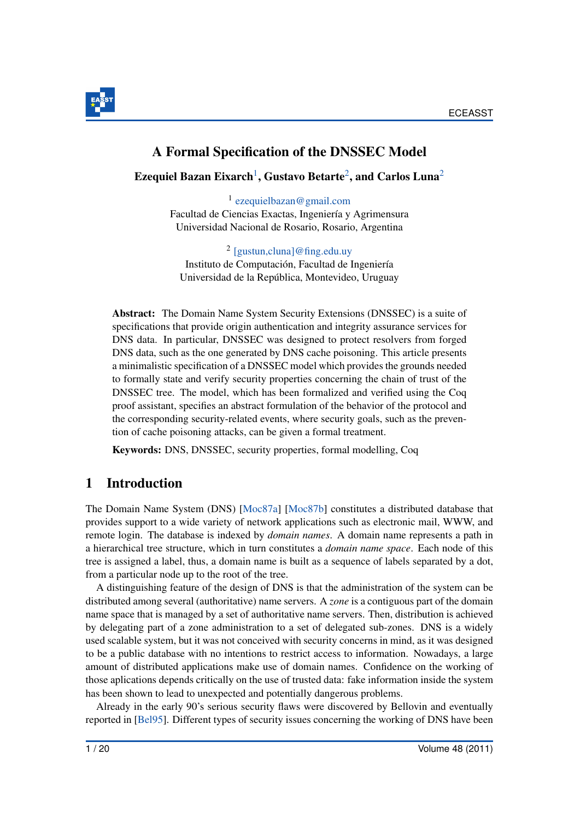

# A Formal Specification of the DNSSEC Model

<span id="page-1-0"></span>Ezequiel Bazan Eixarch $^1,$  $^1,$  $^1,$  Gustavo Betarte $^2,$  $^2,$  $^2,$  and Carlos Luna $^2$ 

1 [ezequielbazan@gmail.com](mailto:ezequielbazan@gmail.com) Facultad de Ciencias Exactas, Ingeniería y Agrimensura Universidad Nacional de Rosario, Rosario, Argentina

2 [\[gustun,cluna\]@fing.edu.uy](mailto:[gustun,cluna]@fing.edu.uy) Instituto de Computación, Facultad de Ingeniería Universidad de la República, Montevideo, Uruguay

<span id="page-1-1"></span>Abstract: The Domain Name System Security Extensions (DNSSEC) is a suite of specifications that provide origin authentication and integrity assurance services for DNS data. In particular, DNSSEC was designed to protect resolvers from forged DNS data, such as the one generated by DNS cache poisoning. This article presents a minimalistic specification of a DNSSEC model which provides the grounds needed to formally state and verify security properties concerning the chain of trust of the DNSSEC tree. The model, which has been formalized and verified using the Coq proof assistant, specifies an abstract formulation of the behavior of the protocol and the corresponding security-related events, where security goals, such as the prevention of cache poisoning attacks, can be given a formal treatment.

Keywords: DNS, DNSSEC, security properties, formal modelling, Coq

# 1 Introduction

The Domain Name System (DNS) [\[Moc87a\]](#page-19-0) [\[Moc87b\]](#page-19-1) constitutes a distributed database that provides support to a wide variety of network applications such as electronic mail, WWW, and remote login. The database is indexed by *domain names*. A domain name represents a path in a hierarchical tree structure, which in turn constitutes a *domain name space*. Each node of this tree is assigned a label, thus, a domain name is built as a sequence of labels separated by a dot, from a particular node up to the root of the tree.

A distinguishing feature of the design of DNS is that the administration of the system can be distributed among several (authoritative) name servers. A *zone* is a contiguous part of the domain name space that is managed by a set of authoritative name servers. Then, distribution is achieved by delegating part of a zone administration to a set of delegated sub-zones. DNS is a widely used scalable system, but it was not conceived with security concerns in mind, as it was designed to be a public database with no intentions to restrict access to information. Nowadays, a large amount of distributed applications make use of domain names. Confidence on the working of those aplications depends critically on the use of trusted data: fake information inside the system has been shown to lead to unexpected and potentially dangerous problems.

Already in the early 90's serious security flaws were discovered by Bellovin and eventually reported in [\[Bel95\]](#page-18-0). Different types of security issues concerning the working of DNS have been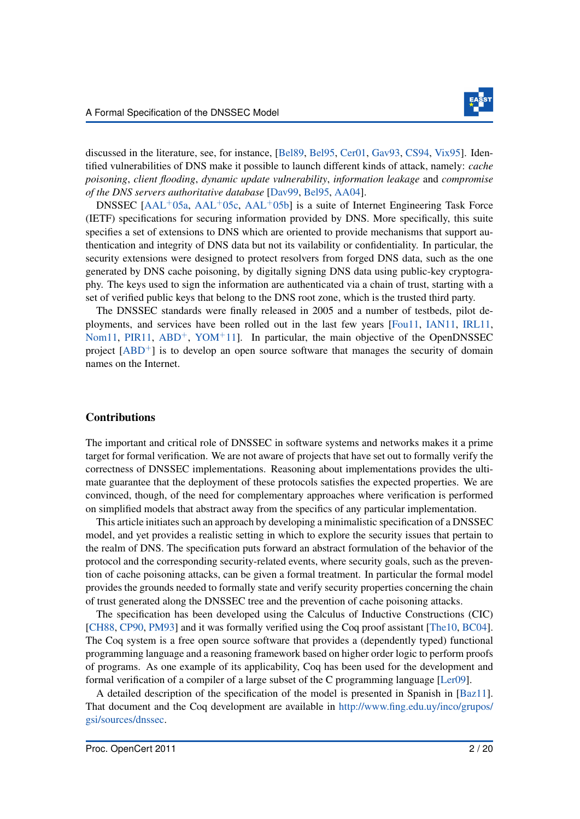

discussed in the literature, see, for instance, [\[Bel89,](#page-18-1) [Bel95,](#page-18-0) [Cer01,](#page-18-2) [Gav93,](#page-19-2) [CS94,](#page-19-3) [Vix95\]](#page-20-0). Identified vulnerabilities of DNS make it possible to launch different kinds of attack, namely: *cache poisoning*, *client flooding*, *dynamic update vulnerability*, *information leakage* and *compromise of the DNS servers authoritative database* [\[Dav99,](#page-19-4) [Bel95,](#page-18-0) [AA04\]](#page-17-0).

DNSSEC [\[AAL](#page-17-1)<sup>+</sup>05a, [AAL](#page-17-2)<sup>+</sup>05c, AAL<sup>+</sup>05b] is a suite of Internet Engineering Task Force (IETF) specifications for securing information provided by DNS. More specifically, this suite specifies a set of extensions to DNS which are oriented to provide mechanisms that support authentication and integrity of DNS data but not its vailability or confidentiality. In particular, the security extensions were designed to protect resolvers from forged DNS data, such as the one generated by DNS cache poisoning, by digitally signing DNS data using public-key cryptography. The keys used to sign the information are authenticated via a chain of trust, starting with a set of verified public keys that belong to the DNS root zone, which is the trusted third party.

The DNSSEC standards were finally released in 2005 and a number of testbeds, pilot deployments, and services have been rolled out in the last few years [\[Fou11,](#page-19-5) [IAN11,](#page-19-6) [IRL11,](#page-19-7) [Nom11,](#page-19-8) [PIR11,](#page-20-1)  $ABD^+$  $ABD^+$ ,  $YOM^+11$  $YOM^+11$ ]. In particular, the main objective of the OpenDNSSEC project  $[ABD^+]$  $[ABD^+]$  is to develop an open source software that manages the security of domain names on the Internet.

#### Contributions

The important and critical role of DNSSEC in software systems and networks makes it a prime target for formal verification. We are not aware of projects that have set out to formally verify the correctness of DNSSEC implementations. Reasoning about implementations provides the ultimate guarantee that the deployment of these protocols satisfies the expected properties. We are convinced, though, of the need for complementary approaches where verification is performed on simplified models that abstract away from the specifics of any particular implementation.

This article initiates such an approach by developing a minimalistic specification of a DNSSEC model, and yet provides a realistic setting in which to explore the security issues that pertain to the realm of DNS. The specification puts forward an abstract formulation of the behavior of the protocol and the corresponding security-related events, where security goals, such as the prevention of cache poisoning attacks, can be given a formal treatment. In particular the formal model provides the grounds needed to formally state and verify security properties concerning the chain of trust generated along the DNSSEC tree and the prevention of cache poisoning attacks.

The specification has been developed using the Calculus of Inductive Constructions (CIC) [\[CH88,](#page-18-5) [CP90,](#page-18-6) [PM93\]](#page-20-3) and it was formally verified using the Coq proof assistant [\[The10,](#page-20-4) [BC04\]](#page-18-7). The Coq system is a free open source software that provides a (dependently typed) functional programming language and a reasoning framework based on higher order logic to perform proofs of programs. As one example of its applicability, Coq has been used for the development and formal verification of a compiler of a large subset of the C programming language [\[Ler09\]](#page-19-9).

A detailed description of the specification of the model is presented in Spanish in [\[Baz11\]](#page-18-8). That document and the Coq development are available in [http://www.fing.edu.uy/inco/grupos/](http://www.fing.edu.uy/inco/grupos/gsi/sources/dnssec) [gsi/sources/dnssec.](http://www.fing.edu.uy/inco/grupos/gsi/sources/dnssec)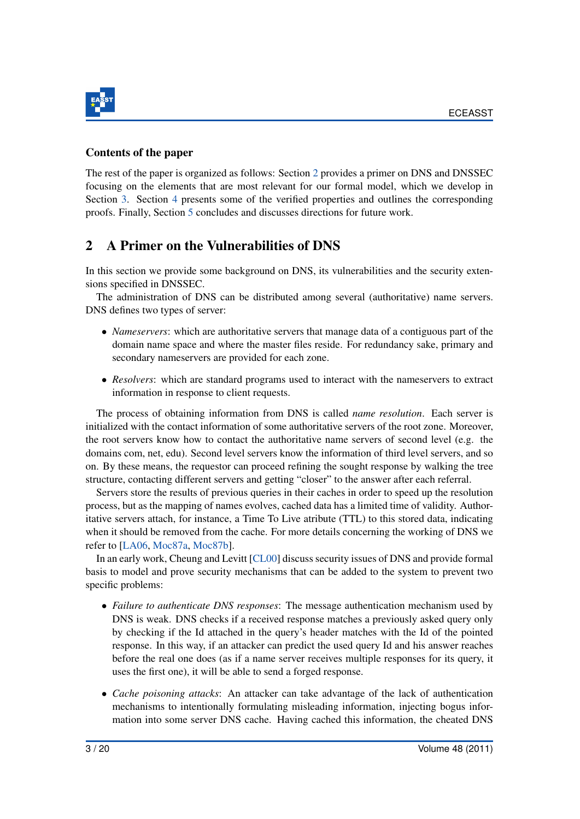

### Contents of the paper

The rest of the paper is organized as follows: Section [2](#page-3-0) provides a primer on DNS and DNSSEC focusing on the elements that are most relevant for our formal model, which we develop in Section [3.](#page-4-0) Section [4](#page-14-0) presents some of the verified properties and outlines the corresponding proofs. Finally, Section [5](#page-16-0) concludes and discusses directions for future work.

# <span id="page-3-0"></span>2 A Primer on the Vulnerabilities of DNS

In this section we provide some background on DNS, its vulnerabilities and the security extensions specified in DNSSEC.

The administration of DNS can be distributed among several (authoritative) name servers. DNS defines two types of server:

- *Nameservers*: which are authoritative servers that manage data of a contiguous part of the domain name space and where the master files reside. For redundancy sake, primary and secondary nameservers are provided for each zone.
- *Resolvers*: which are standard programs used to interact with the nameservers to extract information in response to client requests.

The process of obtaining information from DNS is called *name resolution*. Each server is initialized with the contact information of some authoritative servers of the root zone. Moreover, the root servers know how to contact the authoritative name servers of second level (e.g. the domains com, net, edu). Second level servers know the information of third level servers, and so on. By these means, the requestor can proceed refining the sought response by walking the tree structure, contacting different servers and getting "closer" to the answer after each referral.

Servers store the results of previous queries in their caches in order to speed up the resolution process, but as the mapping of names evolves, cached data has a limited time of validity. Authoritative servers attach, for instance, a Time To Live atribute (TTL) to this stored data, indicating when it should be removed from the cache. For more details concerning the working of DNS we refer to [\[LA06,](#page-19-10) [Moc87a,](#page-19-0) [Moc87b\]](#page-19-1).

In an early work, Cheung and Levitt [\[CL00\]](#page-18-9) discuss security issues of DNS and provide formal basis to model and prove security mechanisms that can be added to the system to prevent two specific problems:

- *Failure to authenticate DNS responses*: The message authentication mechanism used by DNS is weak. DNS checks if a received response matches a previously asked query only by checking if the Id attached in the query's header matches with the Id of the pointed response. In this way, if an attacker can predict the used query Id and his answer reaches before the real one does (as if a name server receives multiple responses for its query, it uses the first one), it will be able to send a forged response.
- *Cache poisoning attacks*: An attacker can take advantage of the lack of authentication mechanisms to intentionally formulating misleading information, injecting bogus information into some server DNS cache. Having cached this information, the cheated DNS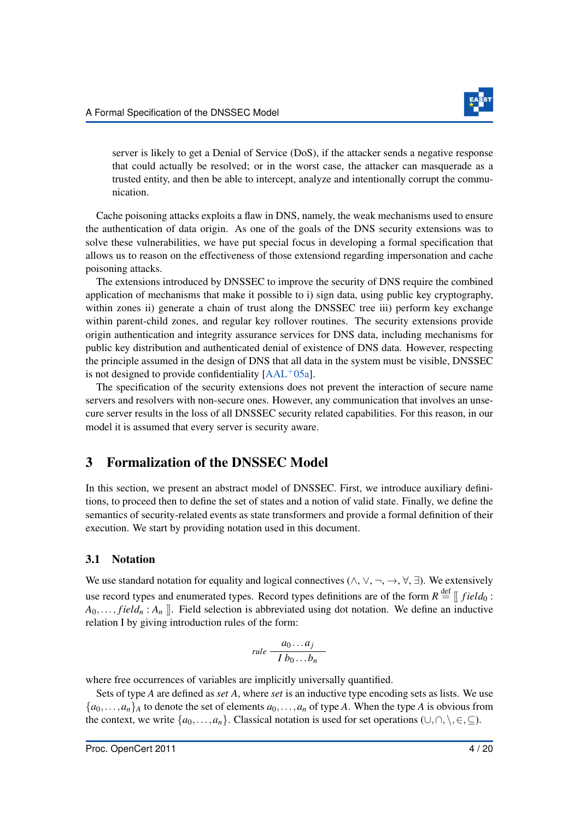

server is likely to get a Denial of Service (DoS), if the attacker sends a negative response that could actually be resolved; or in the worst case, the attacker can masquerade as a trusted entity, and then be able to intercept, analyze and intentionally corrupt the communication.

Cache poisoning attacks exploits a flaw in DNS, namely, the weak mechanisms used to ensure the authentication of data origin. As one of the goals of the DNS security extensions was to solve these vulnerabilities, we have put special focus in developing a formal specification that allows us to reason on the effectiveness of those extensiond regarding impersonation and cache poisoning attacks.

The extensions introduced by DNSSEC to improve the security of DNS require the combined application of mechanisms that make it possible to i) sign data, using public key cryptography, within zones ii) generate a chain of trust along the DNSSEC tree iii) perform key exchange within parent-child zones, and regular key rollover routines. The security extensions provide origin authentication and integrity assurance services for DNS data, including mechanisms for public key distribution and authenticated denial of existence of DNS data. However, respecting the principle assumed in the design of DNS that all data in the system must be visible, DNSSEC is not designed to provide confidentiality  $[AAL^+05a]$  $[AAL^+05a]$ .

The specification of the security extensions does not prevent the interaction of secure name servers and resolvers with non-secure ones. However, any communication that involves an unsecure server results in the loss of all DNSSEC security related capabilities. For this reason, in our model it is assumed that every server is security aware.

### <span id="page-4-0"></span>3 Formalization of the DNSSEC Model

In this section, we present an abstract model of DNSSEC. First, we introduce auxiliary definitions, to proceed then to define the set of states and a notion of valid state. Finally, we define the semantics of security-related events as state transformers and provide a formal definition of their execution. We start by providing notation used in this document.

#### 3.1 Notation

We use standard notation for equality and logical connectives ( $\wedge$ ,  $\vee$ ,  $\neg$ ,  $\forall$ ,  $\nexists$ ). We extensively use record types and enumerated types. Record types definitions are of the form  $R \stackrel{\text{def}}{=} [$  field<sub>0</sub>:  $A_0, \ldots, field_n : A_n$  ]. Field selection is abbreviated using dot notation. We define an inductive relation I by giving introduction rules of the form:

$$
rule \frac{a_0 \ldots a_j}{I b_0 \ldots b_n}
$$

where free occurrences of variables are implicitly universally quantified.

Sets of type *A* are defined as *set A*, where *set* is an inductive type encoding sets as lists. We use  ${a_0, \ldots, a_n}$ *A* to denote the set of elements  $a_0, \ldots, a_n$  of type *A*. When the type *A* is obvious from the context, we write  $\{a_0, \ldots, a_n\}$ . Classical notation is used for set operations  $(\cup, \cap, \setminus, \in, \subseteq)$ .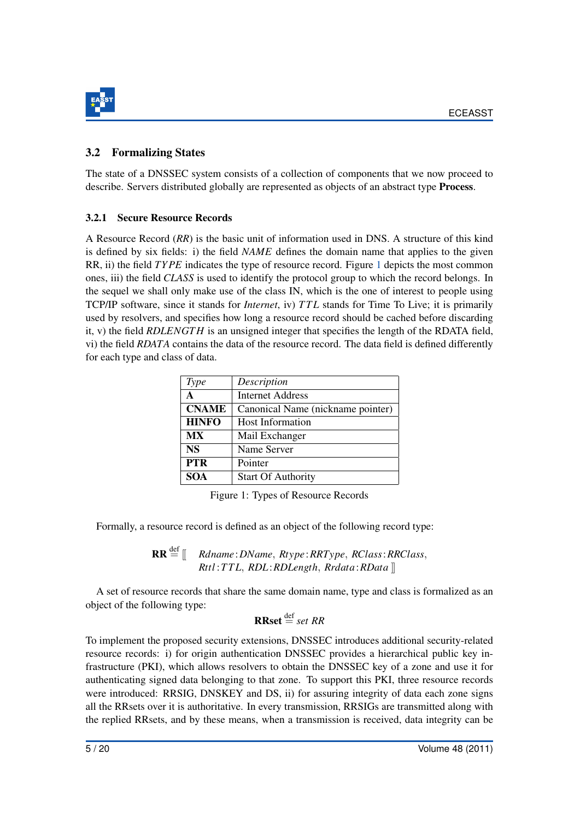

### <span id="page-5-1"></span>3.2 Formalizing States

The state of a DNSSEC system consists of a collection of components that we now proceed to describe. Servers distributed globally are represented as objects of an abstract type Process.

#### 3.2.1 Secure Resource Records

A Resource Record (*RR*) is the basic unit of information used in DNS. A structure of this kind is defined by six fields: i) the field *NAME* defines the domain name that applies to the given RR, ii) the field *TY PE* indicates the type of resource record. Figure [1](#page-5-0) depicts the most common ones, iii) the field *CLASS* is used to identify the protocol group to which the record belongs. In the sequel we shall only make use of the class IN, which is the one of interest to people using TCP/IP software, since it stands for *Internet*, iv) *T T L* stands for Time To Live; it is primarily used by resolvers, and specifies how long a resource record should be cached before discarding it, v) the field *RDLENGT H* is an unsigned integer that specifies the length of the RDATA field, vi) the field *RDATA* contains the data of the resource record. The data field is defined differently for each type and class of data.

<span id="page-5-0"></span>

| Type         | Description                       |
|--------------|-----------------------------------|
| $\mathbf{A}$ | <b>Internet Address</b>           |
| <b>CNAME</b> | Canonical Name (nickname pointer) |
| <b>HINFO</b> | <b>Host Information</b>           |
| <b>MX</b>    | Mail Exchanger                    |
| <b>NS</b>    | Name Server                       |
| <b>PTR</b>   | Pointer                           |
| <b>SOA</b>   | <b>Start Of Authority</b>         |

Figure 1: Types of Resource Records

Formally, a resource record is defined as an object of the following record type:

 $RR \stackrel{\text{def}}{=} \left[ \right]$  *Rdname*: *DName*, *Rtype*: *RRType*, *RClass*: *RRClass*, *Rttl* :*T T L*, *RDL*:*RDLength*, *Rrdata*:*RData* ]]

A set of resource records that share the same domain name, type and class is formalized as an object of the following type:

# $\mathbf{RRset} \stackrel{\text{def}}{=} set \, RR$

To implement the proposed security extensions, DNSSEC introduces additional security-related resource records: i) for origin authentication DNSSEC provides a hierarchical public key infrastructure (PKI), which allows resolvers to obtain the DNSSEC key of a zone and use it for authenticating signed data belonging to that zone. To support this PKI, three resource records were introduced: RRSIG, DNSKEY and DS, ii) for assuring integrity of data each zone signs all the RRsets over it is authoritative. In every transmission, RRSIGs are transmitted along with the replied RRsets, and by these means, when a transmission is received, data integrity can be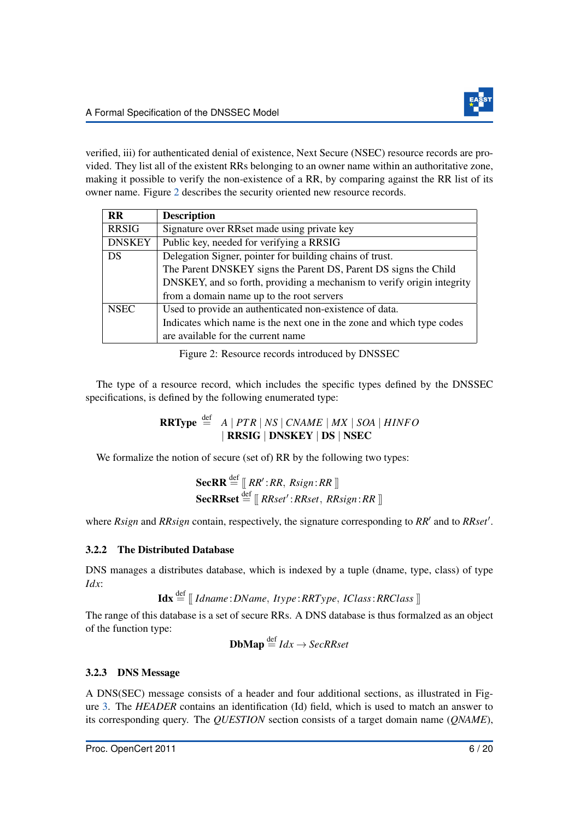verified, iii) for authenticated denial of existence, Next Secure (NSEC) resource records are provided. They list all of the existent RRs belonging to an owner name within an authoritative zone, making it possible to verify the non-existence of a RR, by comparing against the RR list of its owner name. Figure [2](#page-6-0) describes the security oriented new resource records.

<span id="page-6-0"></span>

| <b>RR</b>     | <b>Description</b>                                                     |
|---------------|------------------------------------------------------------------------|
| <b>RRSIG</b>  | Signature over RRset made using private key                            |
| <b>DNSKEY</b> | Public key, needed for verifying a RRSIG                               |
| DS            | Delegation Signer, pointer for building chains of trust.               |
|               | The Parent DNSKEY signs the Parent DS, Parent DS signs the Child       |
|               | DNSKEY, and so forth, providing a mechanism to verify origin integrity |
|               | from a domain name up to the root servers                              |
| <b>NSEC</b>   | Used to provide an authenticated non-existence of data.                |
|               | Indicates which name is the next one in the zone and which type codes  |
|               | are available for the current name                                     |

Figure 2: Resource records introduced by DNSSEC

The type of a resource record, which includes the specific types defined by the DNSSEC specifications, is defined by the following enumerated type:

> $\mathbf{RRType} \stackrel{\text{def}}{=} A \mid PTR \mid NS \mid CNAME \mid MX \mid SOA \mid HINFO$ | RRSIG | DNSKEY | DS | NSEC

We formalize the notion of secure (set of) RR by the following two types:

**SecRR** 
$$
\stackrel{\text{def}}{=} \llbracket RR' : RR, Rsign : RR \rrbracket
$$
  
**SecRRset**  $\stackrel{\text{def}}{=} \llbracket RRset' : RRset, RRsign : RR \rrbracket$ 

where *Rsign* and *RRsign* contain, respectively, the signature corresponding to *RR'* and to *RRset'*.

### 3.2.2 The Distributed Database

DNS manages a distributes database, which is indexed by a tuple (dname, type, class) of type *Idx*:

 $\text{Idx} \stackrel{\text{def}}{=} \left[ \text{Idname}: DName, \text{Itype}: RRType, \text{IClass}: RRClass \right]$ 

The range of this database is a set of secure RRs. A DNS database is thus formalzed as an object of the function type:

**DbMap** 
$$
\stackrel{\text{def}}{=} \text{Idx} \rightarrow \text{SecRRset}
$$

### 3.2.3 DNS Message

A DNS(SEC) message consists of a header and four additional sections, as illustrated in Figure [3.](#page-7-0) The *HEADER* contains an identification (Id) field, which is used to match an answer to its corresponding query. The *QUESTION* section consists of a target domain name (*QNAME*),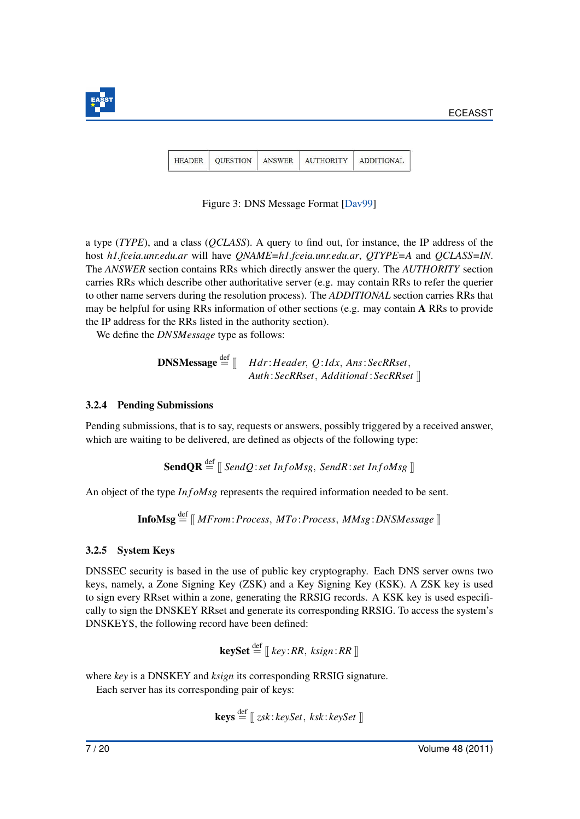<span id="page-7-0"></span>

| HEADER   OUESTION | ANSWER | <b>AUTHORITY</b> | <b>ADDITIONAL</b> |
|-------------------|--------|------------------|-------------------|
|                   |        |                  |                   |

Figure 3: DNS Message Format [\[Dav99\]](#page-19-4)

a type (*TYPE*), and a class (*QCLASS*). A query to find out, for instance, the IP address of the host *h1.fceia.unr.edu.ar* will have *QNAME=h1.fceia.unr.edu.ar*, *QTYPE=A* and *QCLASS=IN*. The *ANSWER* section contains RRs which directly answer the query. The *AUTHORITY* section carries RRs which describe other authoritative server (e.g. may contain RRs to refer the querier to other name servers during the resolution process). The *ADDITIONAL* section carries RRs that may be helpful for using RRs information of other sections (e.g. may contain A RRs to provide the IP address for the RRs listed in the authority section).

We define the *DNSMessage* type as follows:

**DNSMessage** 
$$
\stackrel{\text{def}}{=}
$$
  $\llbracket$  *Hdr:Header*, *Q:Idx*, *Ans:SecRRset*,  
*Author: SecRRset*, *Additional: SecRRset*  $\llbracket$ 

#### 3.2.4 Pending Submissions

Pending submissions, that is to say, requests or answers, possibly triggered by a received answer, which are waiting to be delivered, are defined as objects of the following type:

**SendOR**  $\stackrel{\text{def}}{=}$   $\parallel$  *SendO*:*set InfoMsg*, *SendR*:*set InfoMsg*  $\parallel$ 

An object of the type *In f omsg* represents the required information needed to be sent.

 $\text{InfoMsg} \stackrel{\text{def}}{=} \llbracket \text{MFrom:Process}, \text{MTo:Process}, \text{MMsg:DNSMessage} \rrbracket$ 

### 3.2.5 System Keys

DNSSEC security is based in the use of public key cryptography. Each DNS server owns two keys, namely, a Zone Signing Key (ZSK) and a Key Signing Key (KSK). A ZSK key is used to sign every RRset within a zone, generating the RRSIG records. A KSK key is used especifically to sign the DNSKEY RRset and generate its corresponding RRSIG. To access the system's DNSKEYS, the following record have been defined:

$$
\textbf{keySet} \stackrel{\text{def}}{=} [\![ \textit{key}: \textit{RR}, \textit{ksign}: \textit{RR} \ ]\!]
$$

where *key* is a DNSKEY and *ksign* its corresponding RRSIG signature.

Each server has its corresponding pair of keys:

$$
\textbf{keys} \stackrel{\text{def}}{=} [\![\;zsk:keySet,\;ksk:keySet\;]\!]
$$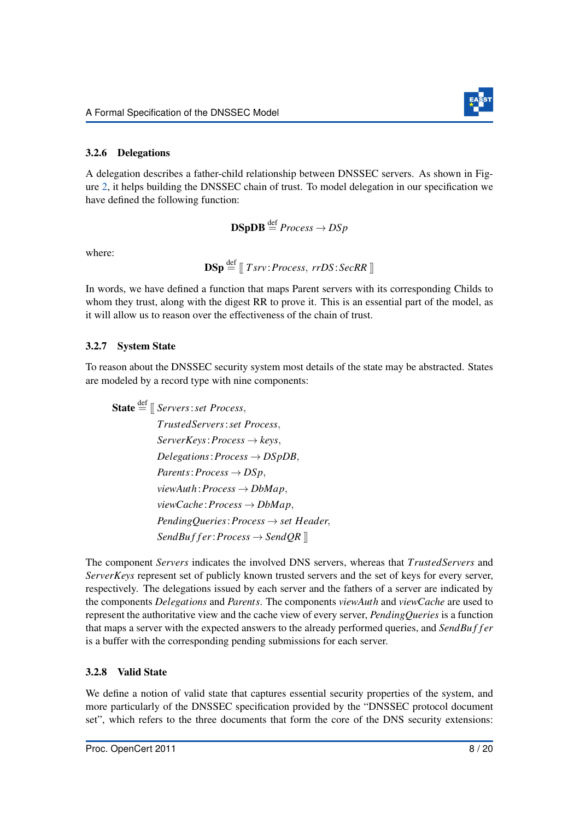

#### 3.2.6 Delegations

A delegation describes a father-child relationship between DNSSEC servers. As shown in Figure [2,](#page-6-0) it helps building the DNSSEC chain of trust. To model delegation in our specification we have defined the following function:

 $\text{DSpDB} \stackrel{\text{def}}{=} \text{Process} \rightarrow \text{DSp}$ 

where:

$$
\mathbf{DSp} \stackrel{\mathrm{def}}{=} \left[ \left[ \mathit{Tsrv:Process}, \mathit{rrDS:SecRR} \right] \right]
$$

In words, we have defined a function that maps Parent servers with its corresponding Childs to whom they trust, along with the digest RR to prove it. This is an essential part of the model, as it will allow us to reason over the effectiveness of the chain of trust.

#### 3.2.7 System State

To reason about the DNSSEC security system most details of the state may be abstracted. States are modeled by a record type with nine components:

State  $\stackrel{\text{def}}{=}$   $\parallel$  *Servers*:*set Process*, *TrustedServers*:*set Process*, *ServerKeys*:*Process* → *keys*,  $Delegations: Process \rightarrow DSpDB$ ,  $Parents: Process \rightarrow DSp,$ *viewAuth*:*Process* → *DbMap*, *viewCache* :*Process* → *DbMap*, *PendingQueries*:*Process* → *set Header*,  $SendBuffer:Process \rightarrow SendQR$ 

The component *Servers* indicates the involved DNS servers, whereas that *TrustedServers* and *ServerKeys* represent set of publicly known trusted servers and the set of keys for every server, respectively. The delegations issued by each server and the fathers of a server are indicated by the components *Delegations* and *Parents*. The components *viewAuth* and *viewCache* are used to represent the authoritative view and the cache view of every server, *PendingQueries* is a function that maps a server with the expected answers to the already performed queries, and *SendBu f f er* is a buffer with the corresponding pending submissions for each server.

#### 3.2.8 Valid State

We define a notion of valid state that captures essential security properties of the system, and more particularly of the DNSSEC specification provided by the "DNSSEC protocol document set", which refers to the three documents that form the core of the DNS security extensions: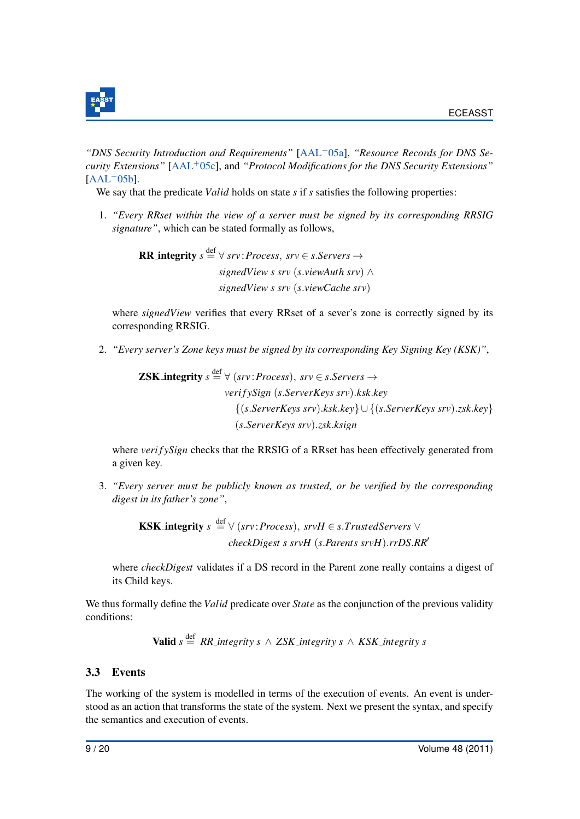

*"DNS Security Introduction and Requirements"* [\[AAL](#page-17-1)+05a], *"Resource Records for DNS Security Extensions"* [\[AAL](#page-18-3)+05c], and *"Protocol Modifications for the DNS Security Extensions"*  $[AAL^+05b]$  $[AAL^+05b]$ .

We say that the predicate *Valid* holds on state *s* if *s* satisfies the following properties:

1. *"Every RRset within the view of a server must be signed by its corresponding RRSIG signature"*, which can be stated formally as follows,

> **RR\_integrity**  $s \stackrel{\text{def}}{=} \forall$  *srv*: *Process*, *srv*  $\in$  *s*.*Servers*  $\rightarrow$ *signedView s srv* (*s*.*viewAuth srv*) ∧ *signedView s srv* (*s*.*viewCache srv*)

where *signedView* verifies that every RRset of a sever's zone is correctly signed by its corresponding RRSIG.

2. *"Every server's Zone keys must be signed by its corresponding Key Signing Key (KSK)"*,

**ZSK-integrity** 
$$
s \stackrel{\text{def}}{=} \forall
$$
 (srv: Process), srv  $\in$  s. *Servers*  $\rightarrow$   
verifySign (s. *ServerKeys* srv).*ksk.key*  
 $\{(s. *ServerKeys* srv).*ksk.key*\} \cup \{(s. *ServerKeys* srv).*zsk.key*\}  
(s. *ServerKeys* srv).*zsk.ksign*$ 

where *verifySign* checks that the RRSIG of a RRset has been effectively generated from a given key.

3. *"Every server must be publicly known as trusted, or be verified by the corresponding digest in its father's zone"*,

> **KSK\_integrity**  $s \stackrel{\text{def}}{=} \forall$  (*srv*: *Process*), *srvH*  $\in$  *s*.*TrustedServers*  $\lor$ *checkDigest s srvH* (*s*.*Parents srvH*).*rrDS*.*RR*<sup>0</sup>

where *checkDigest* validates if a DS record in the Parent zone really contains a digest of its Child keys.

We thus formally define the *Valid* predicate over *State* as the conjunction of the previous validity conditions:

**Valid** 
$$
s \stackrel{\text{def}}{=} RR\_integrity \ s \ \land \ ZSK\_integrity \ s \ \land \ KSK\_integrity \ s
$$

#### 3.3 Events

The working of the system is modelled in terms of the execution of events. An event is understood as an action that transforms the state of the system. Next we present the syntax, and specify the semantics and execution of events.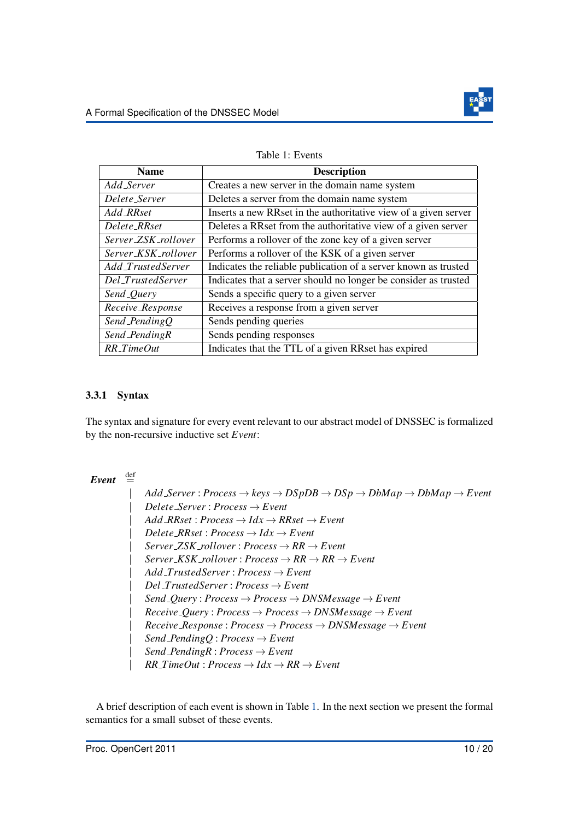

<span id="page-10-0"></span>

| <b>Name</b>         | <b>Description</b>                                              |
|---------------------|-----------------------------------------------------------------|
| Add Server          | Creates a new server in the domain name system                  |
| Delete_Server       | Deletes a server from the domain name system                    |
| Add RRset           | Inserts a new RRset in the authoritative view of a given server |
| Delete_RRset        | Deletes a RRset from the authoritative view of a given server   |
| Server_ZSK_rollover | Performs a rollover of the zone key of a given server           |
| Server_KSK_rollover | Performs a rollover of the KSK of a given server                |
| Add_TrustedServer   | Indicates the reliable publication of a server known as trusted |
| Del_TrustedServer   | Indicates that a server should no longer be consider as trusted |
| Send_Query          | Sends a specific query to a given server                        |
| Receive_Response    | Receives a response from a given server                         |
| Send_PendingQ       | Sends pending queries                                           |
| Send_PendingR       | Sends pending responses                                         |
| $RR\_TimeOut$       | Indicates that the TTL of a given RRset has expired             |

Table 1: Events

#### 3.3.1 Syntax

The syntax and signature for every event relevant to our abstract model of DNSSEC is formalized by the non-recursive inductive set *Event*:

# $Event \stackrel{\text{def}}{=}$

 $Add Server: Process \rightarrow keys \rightarrow DSpDB \rightarrow DSp \rightarrow DbMap \rightarrow DbMap \rightarrow Event$  $Delete\_Server : Process \rightarrow Event$  $Add\_RRset : Process \rightarrow Idx \rightarrow RRset \rightarrow Event$  $Delete\_RRset: Process \rightarrow Idx \rightarrow Event$  $Server ZSK_r$ *rollover* :  $Process \rightarrow RR \rightarrow Event$  $Server\_KSK\_rollover : Process \rightarrow RR \rightarrow RR \rightarrow Event$ | *Add TrustedServer* : *Process* → *Event* | *Del TrustedServer* : *Process* → *Event* | *Send Query* : *Process* → *Process* → *DNSMessage* → *Event*  $$ | *Receive Response* : *Process* → *Process* → *DNSMessage* → *Event*  $Send\_PendingQ: Process \rightarrow Event$  $Send\_PendingR: Process \rightarrow Event$  $RR\_TimeOut: Process \rightarrow Idx \rightarrow RR \rightarrow Event$ 

A brief description of each event is shown in Table [1.](#page-10-0) In the next section we present the formal semantics for a small subset of these events.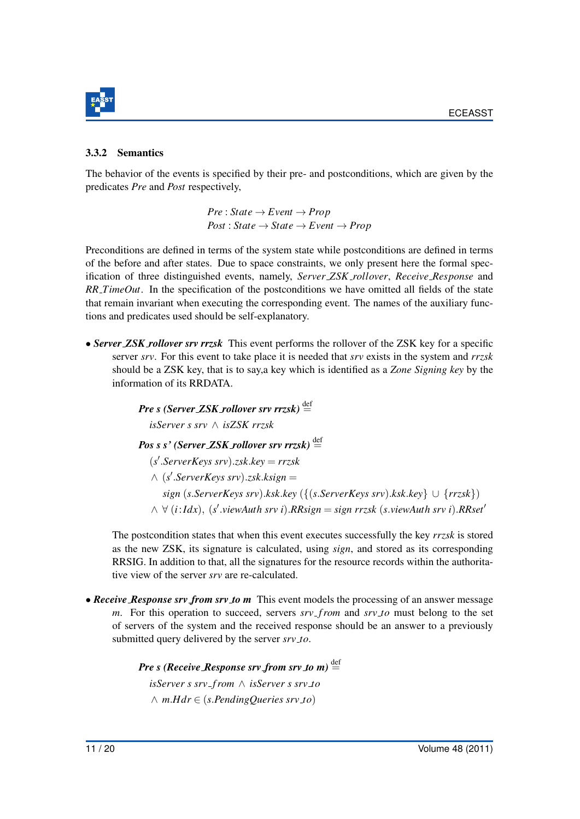

#### <span id="page-11-0"></span>3.3.2 Semantics

The behavior of the events is specified by their pre- and postconditions, which are given by the predicates *Pre* and *Post* respectively,

> $Pre: State \rightarrow Event \rightarrow Prop$  $Post: State \rightarrow State \rightarrow Event \rightarrow Prop$

Preconditions are defined in terms of the system state while postconditions are defined in terms of the before and after states. Due to space constraints, we only present here the formal specification of three distinguished events, namely, *Server ZSK rollover*, *Receive Response* and *RR TimeOut*. In the specification of the postconditions we have omitted all fields of the state that remain invariant when executing the corresponding event. The names of the auxiliary functions and predicates used should be self-explanatory.

• *Server ZSK rollover srv rrzsk* This event performs the rollover of the ZSK key for a specific server *srv*. For this event to take place it is needed that *srv* exists in the system and *rrzsk* should be a ZSK key, that is to say,a key which is identified as a *Zone Signing key* by the information of its RRDATA.

> $Pre s (Server ZSK_rollover srv rrzsk) \stackrel{\text{def}}{=}$ *isServer s srv* ∧ *isZSK rrzsk*  $Pos s s'$  (*Server ZSK rollover srv rrzsk*)<sup> $\stackrel{\text{def}}{=}$ </sup> (*s* 0 .*ServerKeys srv*).*zsk*.*key* = *rrzsk*  $\wedge$  (*s*'.*ServerKeys srv*).*zsk.ksign* = *sign* (*s*.*ServerKeys srv*).*ksk*.*key* ({(*s*.*ServerKeys srv*).*ksk*.*key*} ∪ {*rrzsk*}) ∧ ∀ (*i*:*Idx*), (*s* 0 .*viewAuth srv i*).*RRsign* = *sign rrzsk* (*s*.*viewAuth srv i*).*RRset*<sup>0</sup>

The postcondition states that when this event executes successfully the key *rrzsk* is stored as the new ZSK, its signature is calculated, using *sign*, and stored as its corresponding RRSIG. In addition to that, all the signatures for the resource records within the authoritative view of the server *srv* are re-calculated.

• *Receive Response srv from srv to m* This event models the processing of an answer message *m*. For this operation to succeed, servers *srv f rom* and *srv to* must belong to the set of servers of the system and the received response should be an answer to a previously submitted query delivered by the server *srv to*.

> *Pre s (Receive Response srv from srv to m)*  $\stackrel{\text{def}}{=}$ *isServer s srv f rom* ∧ *isServer s srv to* ∧ *m*.*Hdr* ∈ (*s*.*PendingQueries srv to*)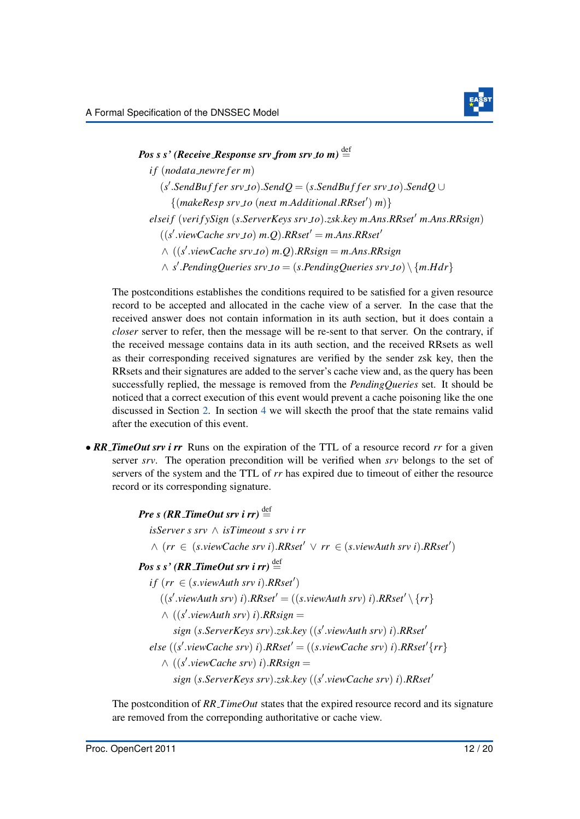

*Pos s s'* (*Receive Response srv from srv to m*)  $\stackrel{\text{def}}{=}$ *if* (*nodata\_newrefer m*)  $(s'$ .*SendBuffer srv\_to*).*SendQ* = (*s*.*SendBuffer srv\_to*).*SendQ* ∪  $\{(make$  <i>Resp</i> <i>srv</i> <i>to</i> (<i>next</i> <i>m</i><i>.Additional</i><i>.RRset'</i>) <i>m</i>)\} *elseif* (*verif ySign* (*s*.*ServerKeys srv\_to*).*zsk.key m.Ans.RRset' m.Ans.RRsign*)  $((s'.viewCache$   $srv_to)$   $m.Q)$ .*RRset'* =  $m.A$ ns.*RRset'* ∧ ((*s* 0 .*viewCache srv to*) *m*.*Q*).*RRsign* = *m*.*Ans*.*RRsign*  $\wedge$  *s'*. PendingQueries srv\_to = (*s*. PendingQueries srv\_to) \{*m.Hdr*}

The postconditions establishes the conditions required to be satisfied for a given resource record to be accepted and allocated in the cache view of a server. In the case that the received answer does not contain information in its auth section, but it does contain a *closer* server to refer, then the message will be re-sent to that server. On the contrary, if the received message contains data in its auth section, and the received RRsets as well as their corresponding received signatures are verified by the sender zsk key, then the RRsets and their signatures are added to the server's cache view and, as the query has been successfully replied, the message is removed from the *PendingQueries* set. It should be noticed that a correct execution of this event would prevent a cache poisoning like the one discussed in Section [2.](#page-3-0) In section [4](#page-14-0) we will skecth the proof that the state remains valid after the execution of this event.

• *RR TimeOut srv i rr* Runs on the expiration of the TTL of a resource record *rr* for a given server *srv*. The operation precondition will be verified when *srv* belongs to the set of servers of the system and the TTL of *rr* has expired due to timeout of either the resource record or its corresponding signature.

*Pre s (RR\_TimeOut srv i rr)*  $\stackrel{\text{def}}{=}$ 

*isServer s srv* ∧ *isTimeout s srv i rr*

 $\land$  (*rr* ∈ (*s*.*viewCache srv i*).*RRset*<sup> $\prime$ </sup>  $\lor$  *rr* ∈ (*s.viewAuth srv i*).*RRset*<sup> $\prime$ </sup>)

# $Pos s s' (RR\_TimeOut srv i rr) \stackrel{\text{def}}{=}$

 $if (rr \in (s.viewAuth srv i).RRset')$ 

 $((s'.viewAuthor) i).RRset' = ((s.viewAuthor) i).RRset' \setminus \{rr\})$ 

 $\wedge$  ((*s'*.*viewAuth srv*) *i*).*RRsign* =

 $sign(s.ServerKeys$   $srv)$ .*zsk.key* ((*s'.viewAuth srv*) *i*).*RRset*<sup>1</sup>

 $else$  ((*s'*.*viewCache srv*) *i*). $RRset' = ((s.viewCache srv)$  *i*). $RRset'\{rr\}$ 

 $\wedge$  ((*s'*.*viewCache srv*) *i*).*RRsign* =

*sign* (*s*.*ServerKeys srv*).*zsk*.*key* ((*s* 0 .*viewCache srv*) *i*).*RRset*<sup>0</sup>

The postcondition of *RR TimeOut* states that the expired resource record and its signature are removed from the correponding authoritative or cache view.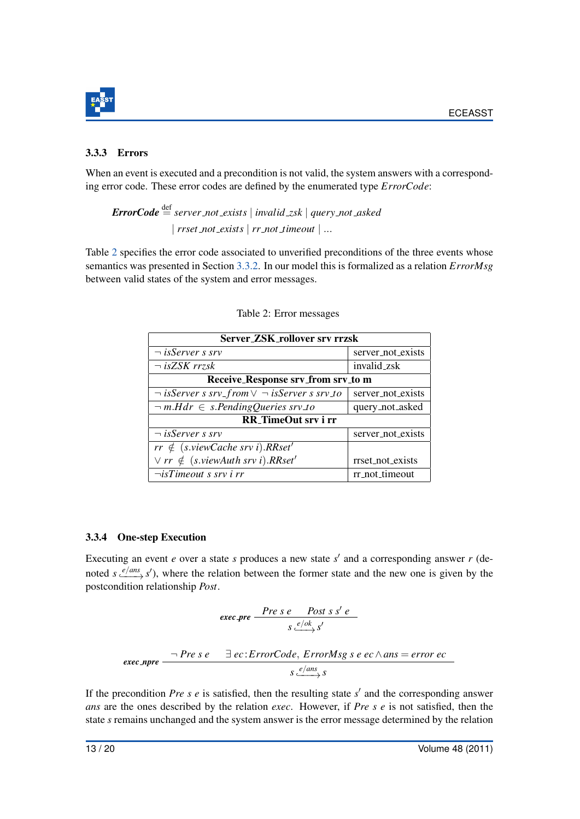

#### 3.3.3 Errors

When an event is executed and a precondition is not valid, the system answers with a corresponding error code. These error codes are defined by the enumerated type *ErrorCode*:

 $ErrorCode \stackrel{\text{def}}{=} server\_not\_exists \mid invalid\_zsk \mid query\_not\_asked$ | *rrset not exists* | *rr not timeout* | ...

<span id="page-13-0"></span>Table [2](#page-13-0) specifies the error code associated to unverified preconditions of the three events whose semantics was presented in Section [3.3.2.](#page-11-0) In our model this is formalized as a relation *ErrorMsg* between valid states of the system and error messages.

| Server_ZSK_rollover srv rrzsk                              |                   |  |  |
|------------------------------------------------------------|-------------------|--|--|
| $\neg$ is Server s srv                                     | server_not_exists |  |  |
| $\neg$ isZSK rrzsk                                         | invalid_zsk       |  |  |
| Receive_Response srv_from srv_to m                         |                   |  |  |
| $\neg$ is Server s srv_from $\vee \neg$ is Server s srv_to | server_not_exists |  |  |
| $\neg m.Hdr \in s.PendingQueries srv_to$                   | query_not_asked   |  |  |
| RR_TimeOut srv i rr                                        |                   |  |  |
| $\neg$ is Server s srv                                     | server_not_exists |  |  |
| $rr \notin$ (s.viewCache srv i).RRset'                     |                   |  |  |
| $\forall$ rr $\notin$ (s.viewAuth srv i). RRset'           | rrset_not_exists  |  |  |
| $\neg$ <i>isTimeout s srv i rr</i>                         | rr_not_timeout    |  |  |

|  |  | Table 2: Error messages |
|--|--|-------------------------|
|--|--|-------------------------|

#### 3.3.4 One-step Execution

Executing an event  $e$  over a state  $s$  produces a new state  $s'$  and a corresponding answer  $r$  (denoted  $s \xrightarrow{e/ans} s'$ , where the relation between the former state and the new one is given by the postcondition relationship *Post*.

$$
\csc \text{pre} \xrightarrow{\text{Pre } s \text{ } e} \xrightarrow{\text{Post } s \text{ } s' \text{ } e}
$$
\n
$$
\csc \text{pre} \xrightarrow{\neg \text{ Pre } s \text{ } e} \qquad \exists \text{ } ec: \text{ErrorCode}, \text{ ErrorMsg } s \text{ } e \text{ } ec \wedge \text{ans} = \text{error } ec
$$
\n
$$
s \xleftarrow{e/\text{ans}} s
$$

If the precondition *Pre s e* is satisfied, then the resulting state  $s'$  and the corresponding answer *ans* are the ones described by the relation *exec*. However, if *Pre s e* is not satisfied, then the state *s* remains unchanged and the system answer is the error message determined by the relation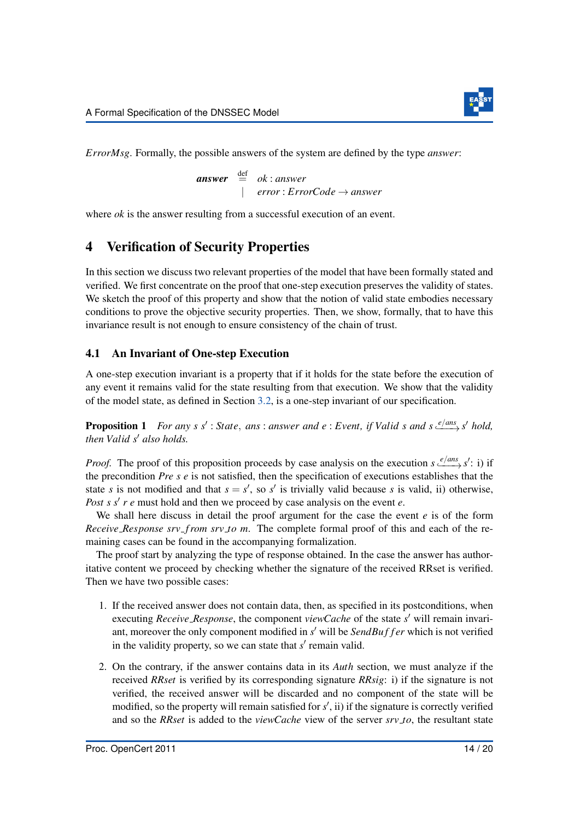

*ErrorMsg*. Formally, the possible answers of the system are defined by the type *answer*:

 $\mathbf{answer} \stackrel{\text{def}}{=} \mathbf{ok} : \mathbf{answer}$ | *error* : *ErrorCode* → *answer*

where *ok* is the answer resulting from a successful execution of an event.

# <span id="page-14-0"></span>4 Verification of Security Properties

In this section we discuss two relevant properties of the model that have been formally stated and verified. We first concentrate on the proof that one-step execution preserves the validity of states. We sketch the proof of this property and show that the notion of valid state embodies necessary conditions to prove the objective security properties. Then, we show, formally, that to have this invariance result is not enough to ensure consistency of the chain of trust.

#### 4.1 An Invariant of One-step Execution

A one-step execution invariant is a property that if it holds for the state before the execution of any event it remains valid for the state resulting from that execution. We show that the validity of the model state, as defined in Section [3.2,](#page-5-1) is a one-step invariant of our specification.

<span id="page-14-1"></span>**Proposition 1** For any s s' : State, ans : answer and e : Event, if Valid s and s  $\frac{e / \text{ans}}{s}$  s' hold, *then Valid s' also holds.* 

*Proof.* The proof of this proposition proceeds by case analysis on the execution  $s \xrightarrow{e / ans} s'$ : i) if the precondition *Pre s e* is not satisfied, then the specification of executions establishes that the state *s* is not modified and that  $s = s'$ , so *s'* is trivially valid because *s* is valid, ii) otherwise, *Post s s' r e* must hold and then we proceed by case analysis on the event *e*.

We shall here discuss in detail the proof argument for the case the event *e* is of the form *Receive Response srv f rom srv to m*. The complete formal proof of this and each of the remaining cases can be found in the accompanying formalization.

The proof start by analyzing the type of response obtained. In the case the answer has authoritative content we proceed by checking whether the signature of the received RRset is verified. Then we have two possible cases:

- 1. If the received answer does not contain data, then, as specified in its postconditions, when executing *Receive Response*, the component *viewCache* of the state *s'* will remain invariant, moreover the only component modified in s' will be *SendBuffer* which is not verified in the validity property, so we can state that  $s'$  remain valid.
- 2. On the contrary, if the answer contains data in its *Auth* section, we must analyze if the received *RRset* is verified by its corresponding signature *RRsig*: i) if the signature is not verified, the received answer will be discarded and no component of the state will be modified, so the property will remain satisfied for  $s'$ , ii) if the signature is correctly verified and so the *RRset* is added to the *viewCache* view of the server *srv to*, the resultant state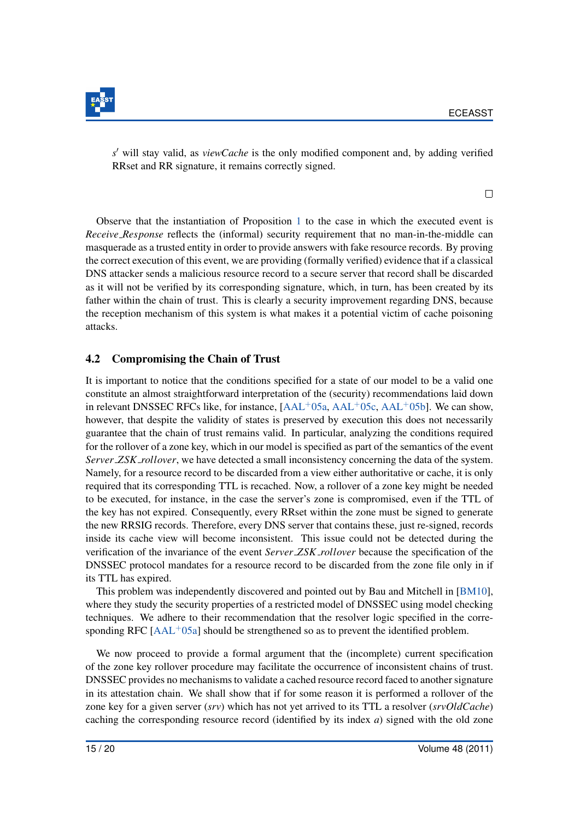

 $s'$  will stay valid, as *viewCache* is the only modified component and, by adding verified RRset and RR signature, it remains correctly signed.

Observe that the instantiation of Proposition [1](#page-14-1) to the case in which the executed event is *Receive Response* reflects the (informal) security requirement that no man-in-the-middle can masquerade as a trusted entity in order to provide answers with fake resource records. By proving the correct execution of this event, we are providing (formally verified) evidence that if a classical DNS attacker sends a malicious resource record to a secure server that record shall be discarded as it will not be verified by its corresponding signature, which, in turn, has been created by its father within the chain of trust. This is clearly a security improvement regarding DNS, because the reception mechanism of this system is what makes it a potential victim of cache poisoning attacks.

### 4.2 Compromising the Chain of Trust

It is important to notice that the conditions specified for a state of our model to be a valid one constitute an almost straightforward interpretation of the (security) recommendations laid down in relevant DNSSEC RFCs like, for instance,  $[AAL<sup>+</sup>05a, AAL<sup>+</sup>05c, AAL<sup>+</sup>05b]$  $[AAL<sup>+</sup>05a, AAL<sup>+</sup>05c, AAL<sup>+</sup>05b]$  $[AAL<sup>+</sup>05a, AAL<sup>+</sup>05c, AAL<sup>+</sup>05b]$  $[AAL<sup>+</sup>05a, AAL<sup>+</sup>05c, AAL<sup>+</sup>05b]$ . We can show, however, that despite the validity of states is preserved by execution this does not necessarily guarantee that the chain of trust remains valid. In particular, analyzing the conditions required for the rollover of a zone key, which in our model is specified as part of the semantics of the event *Server ZSK rollover*, we have detected a small inconsistency concerning the data of the system. Namely, for a resource record to be discarded from a view either authoritative or cache, it is only required that its corresponding TTL is recached. Now, a rollover of a zone key might be needed to be executed, for instance, in the case the server's zone is compromised, even if the TTL of the key has not expired. Consequently, every RRset within the zone must be signed to generate the new RRSIG records. Therefore, every DNS server that contains these, just re-signed, records inside its cache view will become inconsistent. This issue could not be detected during the verification of the invariance of the event *Server ZSK rollover* because the specification of the DNSSEC protocol mandates for a resource record to be discarded from the zone file only in if its TTL has expired.

This problem was independently discovered and pointed out by Bau and Mitchell in [\[BM10\]](#page-18-10), where they study the security properties of a restricted model of DNSSEC using model checking techniques. We adhere to their recommendation that the resolver logic specified in the corresponding RFC  $[AAL^+05a]$  $[AAL^+05a]$  should be strengthened so as to prevent the identified problem.

We now proceed to provide a formal argument that the (incomplete) current specification of the zone key rollover procedure may facilitate the occurrence of inconsistent chains of trust. DNSSEC provides no mechanisms to validate a cached resource record faced to another signature in its attestation chain. We shall show that if for some reason it is performed a rollover of the zone key for a given server (*srv*) which has not yet arrived to its TTL a resolver (*srvOldCache*) caching the corresponding resource record (identified by its index *a*) signed with the old zone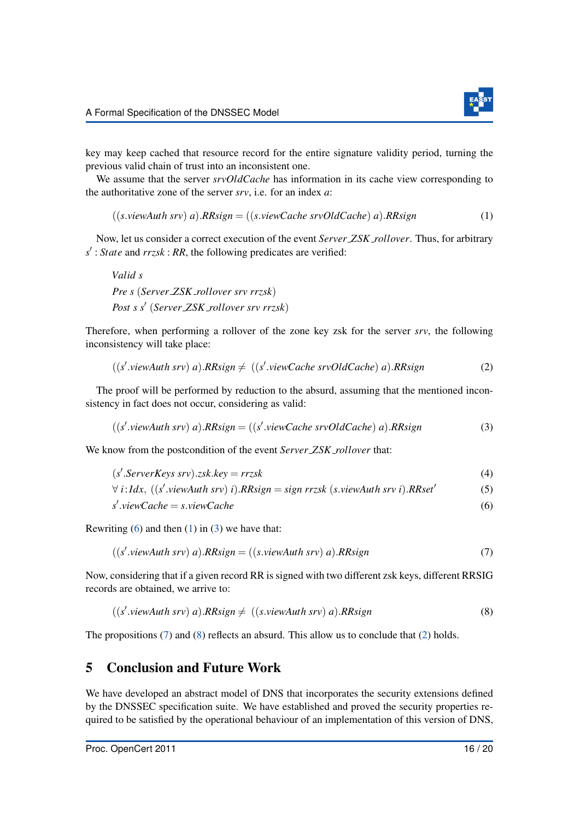<span id="page-16-2"></span>

key may keep cached that resource record for the entire signature validity period, turning the previous valid chain of trust into an inconsistent one.

We assume that the server *srvOldCache* has information in its cache view corresponding to the authoritative zone of the server *srv*, i.e. for an index *a*:

 $((s.viewAuth srv) a).RRsign = ((s.viewCache srvOldCache) a).RRsign$  (1)

Now, let us consider a correct execution of the event *Server ZSK rollover*. Thus, for arbitrary *s* 0 : *State* and *rrzsk* : *RR*, the following predicates are verified:

```
Valid s
Pre s (Server ZSK rollover srv rrzsk)
Post s s0
(Server ZSK rollover srv rrzsk)
```
Therefore, when performing a rollover of the zone key zsk for the server *srv*, the following inconsistency will take place:

<span id="page-16-6"></span>
$$
((s'.viewAuthor) a).RRsign \neq ((s'.viewCache srvOldCache) a).RRsign
$$
 (2)

The proof will be performed by reduction to the absurd, assuming that the mentioned inconsistency in fact does not occur, considering as valid:

<span id="page-16-3"></span>
$$
((s'.viewAuthor) a).RRsign = ((s'.viewCache srvOldCache) a).RRsign
$$
\n(3)

We know from the postcondition of the event *Server ZSK rollover* that:

 $(s'.ServerKeys srv).zsk.key = rrzsk$  (4)

$$
\forall i: Idx, ((s'.viewAuthor) i).RRsign = sign\ rrsk (s.viewAuthor) i).RRset'
$$
 (5)

<span id="page-16-4"></span><span id="page-16-1"></span>
$$
s'.viewCache = s.viewCache
$$
 (6)

Rewriting  $(6)$  and then  $(1)$  in  $(3)$  we have that:

$$
((s'.viewAuthor) a).RRsign = ((s.viewAuthor) a).RRsign
$$
\n(7)

Now, considering that if a given record RR is signed with two different zsk keys, different RRSIG records are obtained, we arrive to:

<span id="page-16-5"></span>
$$
((s'.viewAuthor) a).RRsign \neq ((s.viewAuthor) a).RRsign
$$
\n(8)

The propositions [\(7\)](#page-16-4) and [\(8\)](#page-16-5) reflects an absurd. This allow us to conclude that [\(2\)](#page-16-6) holds.

### <span id="page-16-0"></span>5 Conclusion and Future Work

We have developed an abstract model of DNS that incorporates the security extensions defined by the DNSSEC specification suite. We have established and proved the security properties required to be satisfied by the operational behaviour of an implementation of this version of DNS,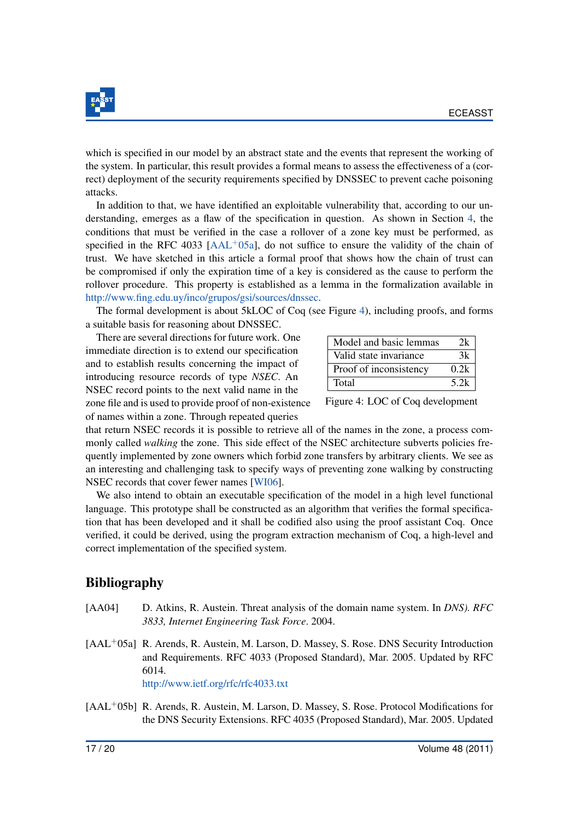

which is specified in our model by an abstract state and the events that represent the working of the system. In particular, this result provides a formal means to assess the effectiveness of a (correct) deployment of the security requirements specified by DNSSEC to prevent cache poisoning attacks.

In addition to that, we have identified an exploitable vulnerability that, according to our understanding, emerges as a flaw of the specification in question. As shown in Section [4,](#page-14-0) the conditions that must be verified in the case a rollover of a zone key must be performed, as specified in the RFC 4033 [\[AAL](#page-17-1)<sup>+</sup>05a], do not suffice to ensure the validity of the chain of trust. We have sketched in this article a formal proof that shows how the chain of trust can be compromised if only the expiration time of a key is considered as the cause to perform the rollover procedure. This property is established as a lemma in the formalization available in [http://www.fing.edu.uy/inco/grupos/gsi/sources/dnssec.](http://www.fing.edu.uy/inco/grupos/gsi/sources/dnssec)

The formal development is about 5kLOC of Coq (see Figure [4\)](#page-17-3), including proofs, and forms a suitable basis for reasoning about DNSSEC.

There are several directions for future work. One immediate direction is to extend our specification and to establish results concerning the impact of introducing resource records of type *NSEC*. An NSEC record points to the next valid name in the zone file and is used to provide proof of non-existence of names within a zone. Through repeated queries

| Model and basic lemmas | 2k   |
|------------------------|------|
| Valid state invariance | 3k   |
| Proof of inconsistency | 0.2k |
| Total                  | 5.2k |

<span id="page-17-3"></span>Figure 4: LOC of Coq development

that return NSEC records it is possible to retrieve all of the names in the zone, a process commonly called *walking* the zone. This side effect of the NSEC architecture subverts policies frequently implemented by zone owners which forbid zone transfers by arbitrary clients. We see as an interesting and challenging task to specify ways of preventing zone walking by constructing NSEC records that cover fewer names [\[WI06\]](#page-20-5).

We also intend to obtain an executable specification of the model in a high level functional language. This prototype shall be constructed as an algorithm that verifies the formal specification that has been developed and it shall be codified also using the proof assistant Coq. Once verified, it could be derived, using the program extraction mechanism of Coq, a high-level and correct implementation of the specified system.

# Bibliography

- <span id="page-17-0"></span>[AA04] D. Atkins, R. Austein. Threat analysis of the domain name system. In *DNS). RFC 3833, Internet Engineering Task Force*. 2004.
- <span id="page-17-1"></span>[AAL<sup>+</sup>05a] R. Arends, R. Austein, M. Larson, D. Massey, S. Rose. DNS Security Introduction and Requirements. RFC 4033 (Proposed Standard), Mar. 2005. Updated by RFC 6014.
	- <http://www.ietf.org/rfc/rfc4033.txt>
- <span id="page-17-2"></span>[AAL<sup>+</sup>05b] R. Arends, R. Austein, M. Larson, D. Massey, S. Rose. Protocol Modifications for the DNS Security Extensions. RFC 4035 (Proposed Standard), Mar. 2005. Updated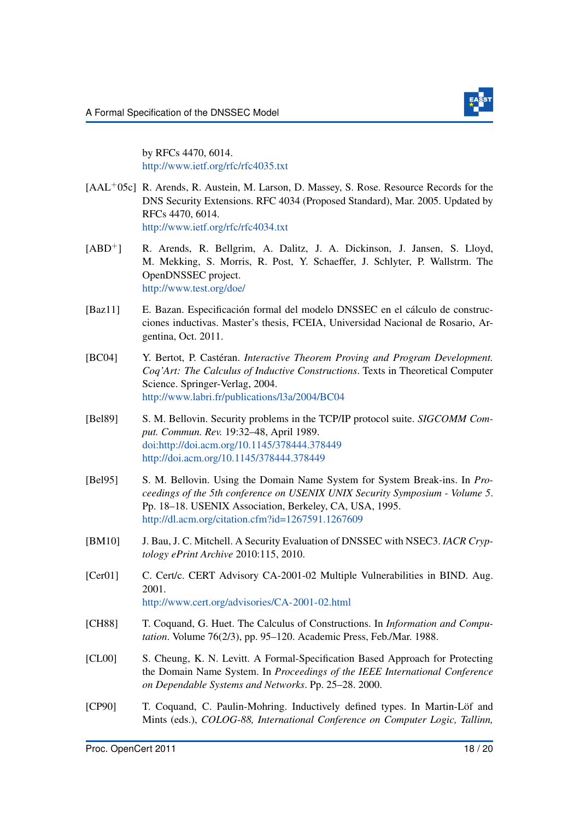

by RFCs 4470, 6014. <http://www.ietf.org/rfc/rfc4035.txt>

- <span id="page-18-3"></span>[AAL<sup>+</sup>05c] R. Arends, R. Austein, M. Larson, D. Massey, S. Rose. Resource Records for the DNS Security Extensions. RFC 4034 (Proposed Standard), Mar. 2005. Updated by RFCs 4470, 6014. <http://www.ietf.org/rfc/rfc4034.txt>
- <span id="page-18-4"></span>[ABD+] R. Arends, R. Bellgrim, A. Dalitz, J. A. Dickinson, J. Jansen, S. Lloyd, M. Mekking, S. Morris, R. Post, Y. Schaeffer, J. Schlyter, P. Wallstrm. The OpenDNSSEC project. <http://www.test.org/doe/>
- <span id="page-18-8"></span>[Baz11] E. Bazan. Especificación formal del modelo DNSSEC en el cálculo de construcciones inductivas. Master's thesis, FCEIA, Universidad Nacional de Rosario, Argentina, Oct. 2011.
- <span id="page-18-7"></span>[BC04] Y. Bertot, P. Castéran. *Interactive Theorem Proving and Program Development. Coq'Art: The Calculus of Inductive Constructions*. Texts in Theoretical Computer Science. Springer-Verlag, 2004. <http://www.labri.fr/publications/l3a/2004/BC04>
- <span id="page-18-1"></span>[Bel89] S. M. Bellovin. Security problems in the TCP/IP protocol suite. *SIGCOMM Comput. Commun. Rev.* 19:32–48, April 1989. [doi:http://doi.acm.org/10.1145/378444.378449](http://dx.doi.org/http://doi.acm.org/10.1145/378444.378449) <http://doi.acm.org/10.1145/378444.378449>
- <span id="page-18-0"></span>[Bel95] S. M. Bellovin. Using the Domain Name System for System Break-ins. In *Proceedings of the 5th conference on USENIX UNIX Security Symposium - Volume 5*. Pp. 18–18. USENIX Association, Berkeley, CA, USA, 1995. <http://dl.acm.org/citation.cfm?id=1267591.1267609>
- <span id="page-18-10"></span>[BM10] J. Bau, J. C. Mitchell. A Security Evaluation of DNSSEC with NSEC3. *IACR Cryptology ePrint Archive* 2010:115, 2010.
- <span id="page-18-2"></span>[Cer01] C. Cert/c. CERT Advisory CA-2001-02 Multiple Vulnerabilities in BIND. Aug. 2001. <http://www.cert.org/advisories/CA-2001-02.html>
- <span id="page-18-5"></span>[CH88] T. Coquand, G. Huet. The Calculus of Constructions. In *Information and Computation*. Volume 76(2/3), pp. 95–120. Academic Press, Feb./Mar. 1988.
- <span id="page-18-9"></span>[CL00] S. Cheung, K. N. Levitt. A Formal-Specification Based Approach for Protecting the Domain Name System. In *Proceedings of the IEEE International Conference on Dependable Systems and Networks*. Pp. 25–28. 2000.
- <span id="page-18-6"></span>[CP90] T. Coquand, C. Paulin-Mohring. Inductively defined types. In Martin-Löf and Mints (eds.), *COLOG-88, International Conference on Computer Logic, Tallinn,*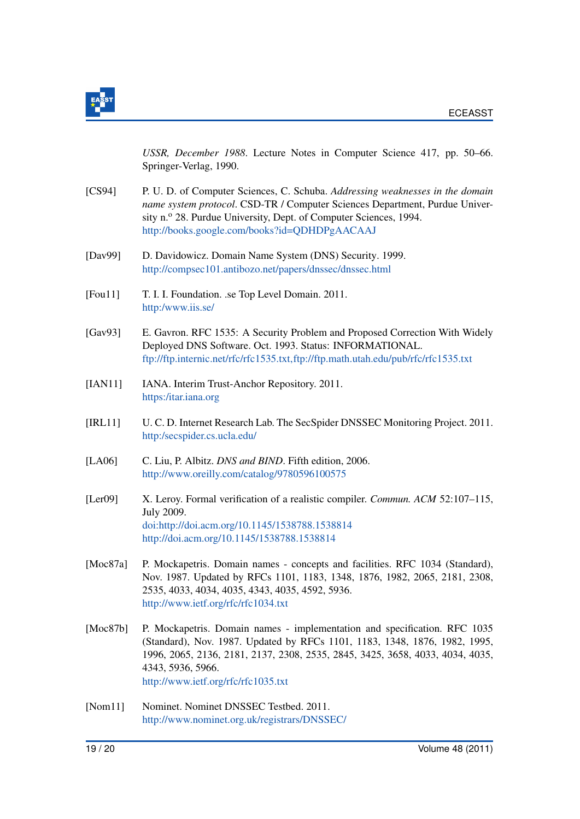

*USSR, December 1988*. Lecture Notes in Computer Science 417, pp. 50–66. Springer-Verlag, 1990.

- <span id="page-19-3"></span>[CS94] P. U. D. of Computer Sciences, C. Schuba. *Addressing weaknesses in the domain name system protocol*. CSD-TR / Computer Sciences Department, Purdue University n.<sup>o</sup> 28. Purdue University, Dept. of Computer Sciences, 1994. <http://books.google.com/books?id=QDHDPgAACAAJ>
- <span id="page-19-4"></span>[Dav99] D. Davidowicz. Domain Name System (DNS) Security. 1999. <http://compsec101.antibozo.net/papers/dnssec/dnssec.html>
- <span id="page-19-5"></span>[Fou11] T. I. I. Foundation. .se Top Level Domain. 2011. <http:/www.iis.se/>
- <span id="page-19-2"></span>[Gav93] E. Gavron. RFC 1535: A Security Problem and Proposed Correction With Widely Deployed DNS Software. Oct. 1993. Status: INFORMATIONAL. [ftp://ftp.internic.net/rfc/rfc1535.txt,ftp://ftp.math.utah.edu/pub/rfc/rfc1535.txt](ftp://ftp.internic.net/rfc/rfc1535.txt, ftp://ftp.math.utah.edu/pub/rfc/rfc1535.txt)
- <span id="page-19-6"></span>[IAN11] IANA. Interim Trust-Anchor Repository. 2011. <https:/itar.iana.org>
- <span id="page-19-7"></span>[IRL11] U. C. D. Internet Research Lab. The SecSpider DNSSEC Monitoring Project. 2011. <http:/secspider.cs.ucla.edu/>
- <span id="page-19-10"></span>[LA06] C. Liu, P. Albitz. *DNS and BIND*. Fifth edition, 2006. <http://www.oreilly.com/catalog/9780596100575>
- <span id="page-19-9"></span>[Ler09] X. Leroy. Formal verification of a realistic compiler. *Commun. ACM* 52:107–115, July 2009. [doi:http://doi.acm.org/10.1145/1538788.1538814](http://dx.doi.org/http://doi.acm.org/10.1145/1538788.1538814) <http://doi.acm.org/10.1145/1538788.1538814>
- <span id="page-19-0"></span>[Moc87a] P. Mockapetris. Domain names - concepts and facilities. RFC 1034 (Standard), Nov. 1987. Updated by RFCs 1101, 1183, 1348, 1876, 1982, 2065, 2181, 2308, 2535, 4033, 4034, 4035, 4343, 4035, 4592, 5936. <http://www.ietf.org/rfc/rfc1034.txt>
- <span id="page-19-1"></span>[Moc87b] P. Mockapetris. Domain names - implementation and specification. RFC 1035 (Standard), Nov. 1987. Updated by RFCs 1101, 1183, 1348, 1876, 1982, 1995, 1996, 2065, 2136, 2181, 2137, 2308, 2535, 2845, 3425, 3658, 4033, 4034, 4035, 4343, 5936, 5966. <http://www.ietf.org/rfc/rfc1035.txt>
- <span id="page-19-8"></span>[Nom11] Nominet. Nominet DNSSEC Testbed. 2011. <http://www.nominet.org.uk/registrars/DNSSEC/>